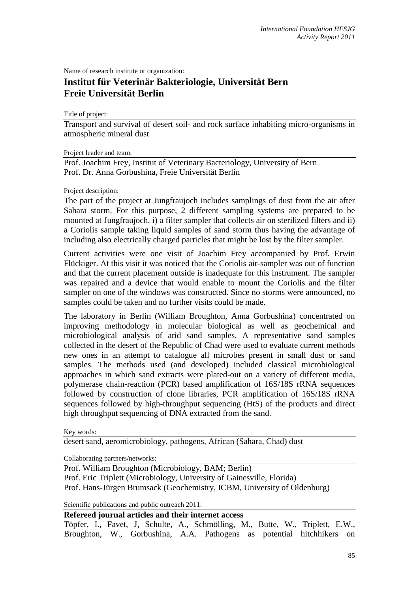Name of research institute or organization:

## **Institut für Veterinär Bakteriologie, Universität Bern Freie Universität Berlin**

Title of project:

Transport and survival of desert soil- and rock surface inhabiting micro-organisms in atmospheric mineral dust

Project leader and team:

Prof. Joachim Frey, Institut of Veterinary Bacteriology, University of Bern Prof. Dr. Anna Gorbushina, Freie Universität Berlin

## Project description:

The part of the project at Jungfraujoch includes samplings of dust from the air after Sahara storm. For this purpose, 2 different sampling systems are prepared to be mounted at Jungfraujoch, i) a filter sampler that collects air on sterilized filters and ii) a Coriolis sample taking liquid samples of sand storm thus having the advantage of including also electrically charged particles that might be lost by the filter sampler.

Current activities were one visit of Joachim Frey accompanied by Prof. Erwin Flückiger. At this visit it was noticed that the Coriolis air-sampler was out of function and that the current placement outside is inadequate for this instrument. The sampler was repaired and a device that would enable to mount the Coriolis and the filter sampler on one of the windows was constructed. Since no storms were announced, no samples could be taken and no further visits could be made.

The laboratory in Berlin (William Broughton, Anna Gorbushina) concentrated on improving methodology in molecular biological as well as geochemical and microbiological analysis of arid sand samples. A representative sand samples collected in the desert of the Republic of Chad were used to evaluate current methods new ones in an attempt to catalogue all microbes present in small dust or sand samples. The methods used (and developed) included classical microbiological approaches in which sand extracts were plated-out on a variety of different media, polymerase chain-reaction (PCR) based amplification of 16S/18S rRNA sequences followed by construction of clone libraries, PCR amplification of 16S/18S rRNA sequences followed by high-throughput sequencing (HtS) of the products and direct high throughput sequencing of DNA extracted from the sand.

Key words:

desert sand, aeromicrobiology, pathogens, African (Sahara, Chad) dust

Collaborating partners/networks:

Prof. William Broughton (Microbiology, BAM; Berlin) Prof. Eric Triplett (Microbiology, University of Gainesville, Florida) Prof. Hans-Jürgen Brumsack (Geochemistry, ICBM, University of Oldenburg)

Scientific publications and public outreach 2011:

## **Refereed journal articles and their internet access**

Töpfer, I., Favet, J, Schulte, A., Schmölling, M., Butte, W., Triplett, E.W., Broughton, W., Gorbushina, A.A. Pathogens as potential hitchhikers on